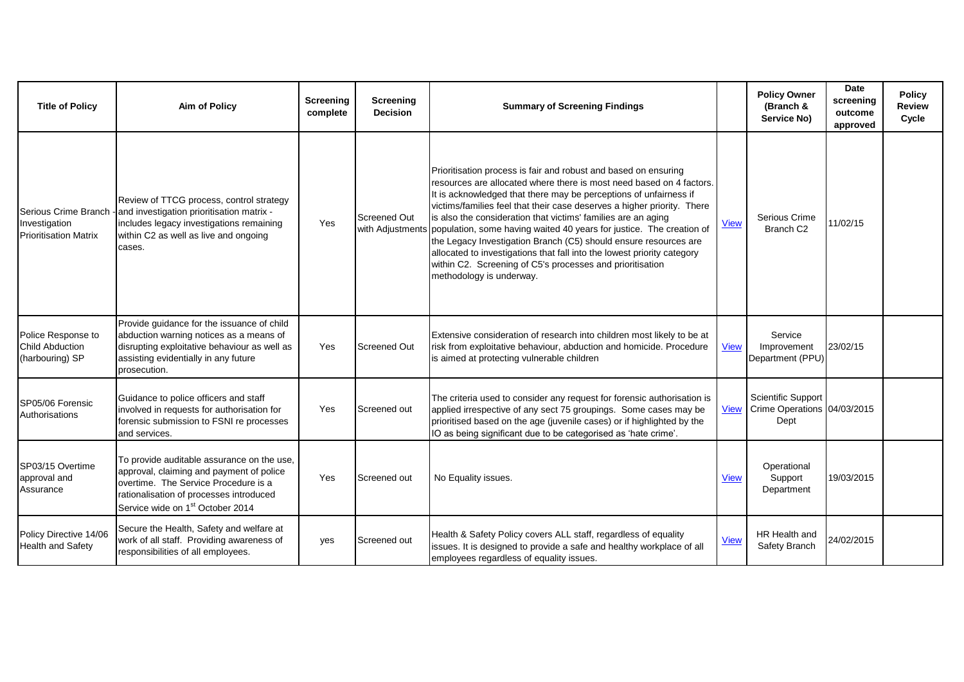| <b>Title of Policy</b>                                                | <b>Aim of Policy</b>                                                                                                                                                                                                      | Screening<br>complete | Screening<br><b>Decision</b>            | <b>Summary of Screening Findings</b>                                                                                                                                                                                                                                                                                                                                                                                                                                                                                                                                                                                                                                     |             | <b>Policy Owner</b><br>(Branch &<br>Service No)           | Date<br>screening<br>outcome<br>approved | <b>Policy</b><br><b>Review</b><br>Cycle |
|-----------------------------------------------------------------------|---------------------------------------------------------------------------------------------------------------------------------------------------------------------------------------------------------------------------|-----------------------|-----------------------------------------|--------------------------------------------------------------------------------------------------------------------------------------------------------------------------------------------------------------------------------------------------------------------------------------------------------------------------------------------------------------------------------------------------------------------------------------------------------------------------------------------------------------------------------------------------------------------------------------------------------------------------------------------------------------------------|-------------|-----------------------------------------------------------|------------------------------------------|-----------------------------------------|
| Serious Crime Branch<br>Investigation<br><b>Prioritisation Matrix</b> | Review of TTCG process, control strategy<br>- and investigation prioritisation matrix -<br>includes legacy investigations remaining<br>within C2 as well as live and ongoing<br>cases.                                    | Yes                   | <b>Screened Out</b><br>with Adjustments | Prioritisation process is fair and robust and based on ensuring<br>resources are allocated where there is most need based on 4 factors.<br>It is acknowledged that there may be perceptions of unfairness if<br>victims/families feel that their case deserves a higher priority. There<br>is also the consideration that victims' families are an aging<br>population, some having waited 40 years for justice. The creation of<br>the Legacy Investigation Branch (C5) should ensure resources are<br>allocated to investigations that fall into the lowest priority category<br>within C2. Screening of C5's processes and prioritisation<br>methodology is underway. | <b>View</b> | Serious Crime<br>Branch C <sub>2</sub>                    | 11/02/15                                 |                                         |
| Police Response to<br><b>Child Abduction</b><br>(harbouring) SP       | Provide guidance for the issuance of child<br>abduction warning notices as a means of<br>disrupting exploitative behaviour as well as<br>assisting evidentially in any future<br>prosecution.                             | Yes                   | <b>Screened Out</b>                     | Extensive consideration of research into children most likely to be at<br>risk from exploitative behaviour, abduction and homicide. Procedure<br>is aimed at protecting vulnerable children                                                                                                                                                                                                                                                                                                                                                                                                                                                                              | <b>View</b> | Service<br>Improvement<br>Department (PPU)                | 23/02/15                                 |                                         |
| SP05/06 Forensic<br>Authorisations                                    | Guidance to police officers and staff<br>involved in requests for authorisation for<br>forensic submission to FSNI re processes<br>and services.                                                                          | Yes                   | Screened out                            | The criteria used to consider any request for forensic authorisation is<br>applied irrespective of any sect 75 groupings. Some cases may be<br>prioritised based on the age (juvenile cases) or if highlighted by the<br>IO as being significant due to be categorised as 'hate crime'.                                                                                                                                                                                                                                                                                                                                                                                  | <b>View</b> | Scientific Support<br>Crime Operations 04/03/2015<br>Dept |                                          |                                         |
| SP03/15 Overtime<br>approval and<br>Assurance                         | To provide auditable assurance on the use,<br>approval, claiming and payment of police<br>overtime. The Service Procedure is a<br>rationalisation of processes introduced<br>Service wide on 1 <sup>st</sup> October 2014 | Yes                   | Screened out                            | No Equality issues.                                                                                                                                                                                                                                                                                                                                                                                                                                                                                                                                                                                                                                                      | <b>View</b> | Operational<br>Support<br>Department                      | 19/03/2015                               |                                         |
| Policy Directive 14/06<br><b>Health and Safety</b>                    | Secure the Health, Safety and welfare at<br>work of all staff. Providing awareness of<br>responsibilities of all employees.                                                                                               | yes                   | Screened out                            | Health & Safety Policy covers ALL staff, regardless of equality<br>issues. It is designed to provide a safe and healthy workplace of all<br>employees regardless of equality issues.                                                                                                                                                                                                                                                                                                                                                                                                                                                                                     | <b>View</b> | HR Health and<br>Safety Branch                            | 24/02/2015                               |                                         |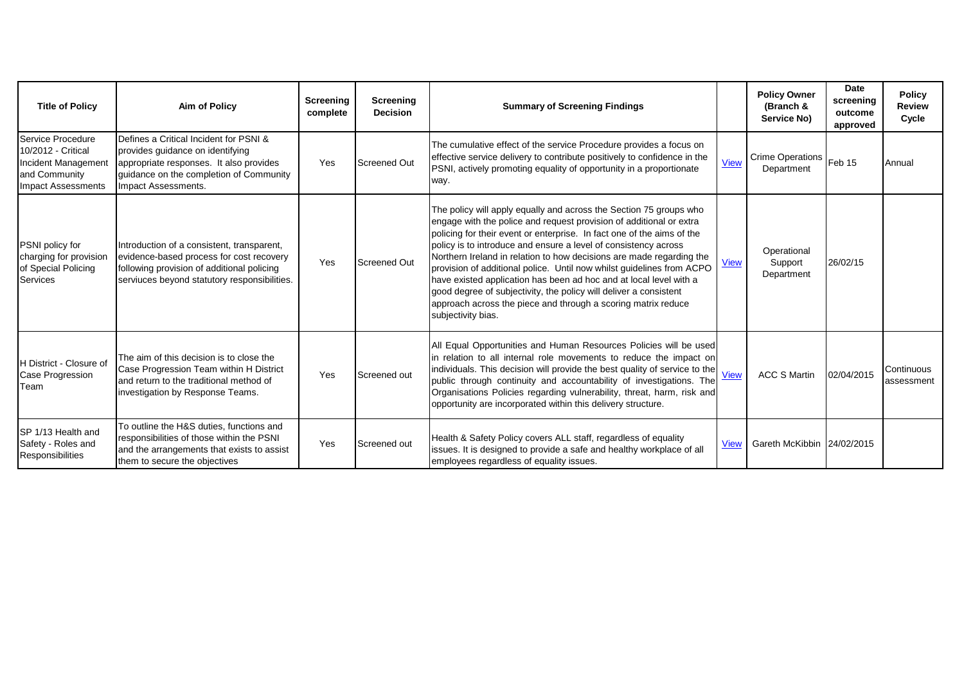| <b>Title of Policy</b>                                                                                       | Aim of Policy                                                                                                                                                                           | Screening<br>complete | Screening<br><b>Decision</b> | <b>Summary of Screening Findings</b>                                                                                                                                                                                                                                                                                                                                                                                                                                                                                                                                                                                                                                      |             | <b>Policy Owner</b><br>(Branch &<br>Service No) | Date<br>screening<br>outcome<br>approved | <b>Policy</b><br><b>Review</b><br>Cycle |
|--------------------------------------------------------------------------------------------------------------|-----------------------------------------------------------------------------------------------------------------------------------------------------------------------------------------|-----------------------|------------------------------|---------------------------------------------------------------------------------------------------------------------------------------------------------------------------------------------------------------------------------------------------------------------------------------------------------------------------------------------------------------------------------------------------------------------------------------------------------------------------------------------------------------------------------------------------------------------------------------------------------------------------------------------------------------------------|-------------|-------------------------------------------------|------------------------------------------|-----------------------------------------|
| Service Procedure<br>10/2012 - Critical<br>Incident Management<br>and Community<br><b>Impact Assessments</b> | Defines a Critical Incident for PSNI &<br>provides guidance on identifying<br>appropriate responses. It also provides<br>guidance on the completion of Community<br>Impact Assessments. | Yes                   | Screened Out                 | The cumulative effect of the service Procedure provides a focus on<br>effective service delivery to contribute positively to confidence in the<br>PSNI, actively promoting equality of opportunity in a proportionate<br>way.                                                                                                                                                                                                                                                                                                                                                                                                                                             | <b>View</b> | <b>Crime Operations</b><br>Department           | Feb 15                                   | Annual                                  |
| PSNI policy for<br>charging for provision<br>of Special Policing<br><b>Services</b>                          | Introduction of a consistent, transparent,<br>evidence-based process for cost recovery<br>following provision of additional policing<br>serviuces beyond statutory responsibilities.    | Yes                   | Screened Out                 | The policy will apply equally and across the Section 75 groups who<br>engage with the police and request provision of additional or extra<br>policing for their event or enterprise. In fact one of the aims of the<br>policy is to introduce and ensure a level of consistency across<br>Northern Ireland in relation to how decisions are made regarding the<br>provision of additional police. Until now whilst guidelines from ACPO<br>have existed application has been ad hoc and at local level with a<br>good degree of subjectivity, the policy will deliver a consistent<br>approach across the piece and through a scoring matrix reduce<br>subjectivity bias. | <b>View</b> | Operational<br>Support<br>Department            | 26/02/15                                 |                                         |
| H District - Closure of<br>Case Progression<br>Team                                                          | The aim of this decision is to close the<br>Case Progression Team within H District<br>and return to the traditional method of<br>investigation by Response Teams.                      | Yes                   | Screened out                 | All Equal Opportunities and Human Resources Policies will be used<br>in relation to all internal role movements to reduce the impact on<br>in columns, the case of the best quality of service to the view<br>public through continuity and accountability of investigations. The<br>Organisations Policies regarding vulnerability, threat, harm, risk and<br>opportunity are incorporated within this delivery structure.                                                                                                                                                                                                                                               |             | <b>ACC S Martin</b>                             | 02/04/2015                               | Continuous<br>assessment                |
| <b>SP 1/13 Health and</b><br>Safety - Roles and<br>Responsibilities                                          | To outline the H&S duties, functions and<br>responsibilities of those within the PSNI<br>and the arrangements that exists to assist<br>them to secure the objectives                    | Yes                   | Screened out                 | Health & Safety Policy covers ALL staff, regardless of equality<br>issues. It is designed to provide a safe and healthy workplace of all<br>employees regardless of equality issues.                                                                                                                                                                                                                                                                                                                                                                                                                                                                                      | <b>View</b> | Gareth McKibbin 24/02/2015                      |                                          |                                         |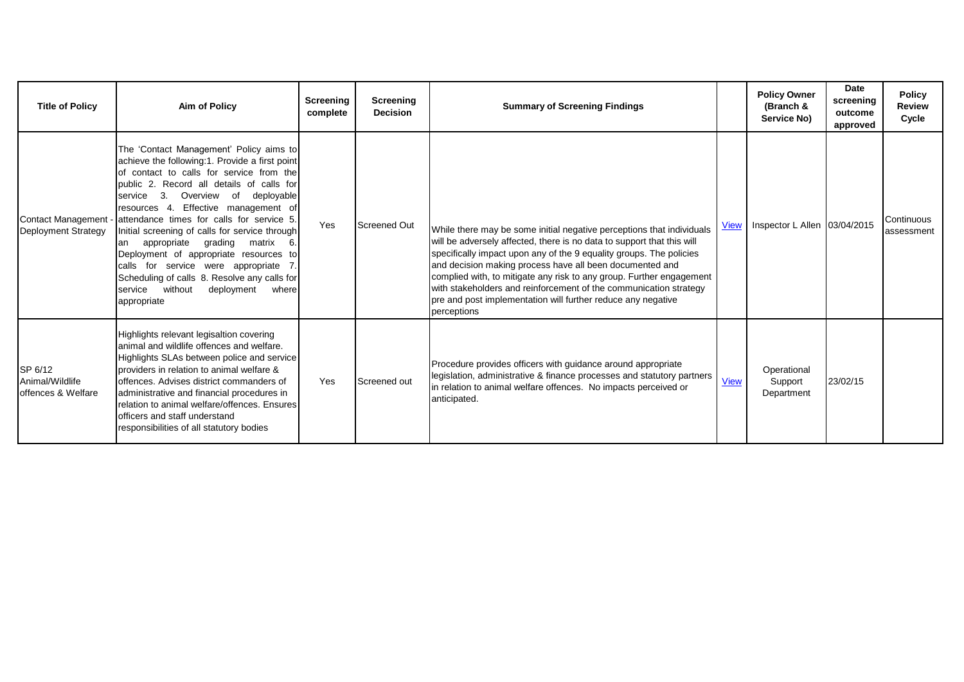| <b>Title of Policy</b>                           | Aim of Policy                                                                                                                                                                                                                                                                                                                                                                                                                                                                                                                                                                                               | Screening<br>complete | Screening<br><b>Decision</b> | <b>Summary of Screening Findings</b>                                                                                                                                                                                                                                                                                                                                                                                                                                                                           |             | <b>Policy Owner</b><br>(Branch &<br>Service No) | Date<br>screening<br>outcome<br>approved | <b>Policy</b><br><b>Review</b><br>Cycle |
|--------------------------------------------------|-------------------------------------------------------------------------------------------------------------------------------------------------------------------------------------------------------------------------------------------------------------------------------------------------------------------------------------------------------------------------------------------------------------------------------------------------------------------------------------------------------------------------------------------------------------------------------------------------------------|-----------------------|------------------------------|----------------------------------------------------------------------------------------------------------------------------------------------------------------------------------------------------------------------------------------------------------------------------------------------------------------------------------------------------------------------------------------------------------------------------------------------------------------------------------------------------------------|-------------|-------------------------------------------------|------------------------------------------|-----------------------------------------|
| <b>Contact Management</b><br>Deployment Strategy | The 'Contact Management' Policy aims to<br>achieve the following:1. Provide a first point<br>of contact to calls for service from the<br>public 2. Record all details of calls for<br>3.<br>Overview of<br>deployable<br>service<br>resources 4. Effective management of<br>attendance times for calls for service 5.<br>Initial screening of calls for service through<br>appropriate grading matrix 6.<br>lan<br>Deployment of appropriate resources to<br>calls for service were appropriate 7.<br>Scheduling of calls 8. Resolve any calls for<br>service without<br>deployment<br>where<br>appropriate | Yes                   | <b>Screened Out</b>          | While there may be some initial negative perceptions that individuals<br>will be adversely affected, there is no data to support that this will<br>specifically impact upon any of the 9 equality groups. The policies<br>and decision making process have all been documented and<br>complied with, to mitigate any risk to any group. Further engagement<br>with stakeholders and reinforcement of the communication strategy<br>pre and post implementation will further reduce any negative<br>perceptions | <b>View</b> | Inspector L Allen 03/04/2015                    |                                          | Continuous<br>assessment                |
| SP 6/12<br>Animal/Wildlife<br>offences & Welfare | Highlights relevant legisaltion covering<br>animal and wildlife offences and welfare.<br>Highlights SLAs between police and service<br>providers in relation to animal welfare &<br>offences. Advises district commanders of<br>administrative and financial procedures in<br>relation to animal welfare/offences. Ensures<br>officers and staff understand<br>responsibilities of all statutory bodies                                                                                                                                                                                                     | Yes                   | Screened out                 | Procedure provides officers with guidance around appropriate<br>legislation, administrative & finance processes and statutory partners<br>in relation to animal welfare offences. No impacts perceived or<br>anticipated.                                                                                                                                                                                                                                                                                      | <b>View</b> | Operational<br>Support<br>Department            | 23/02/15                                 |                                         |